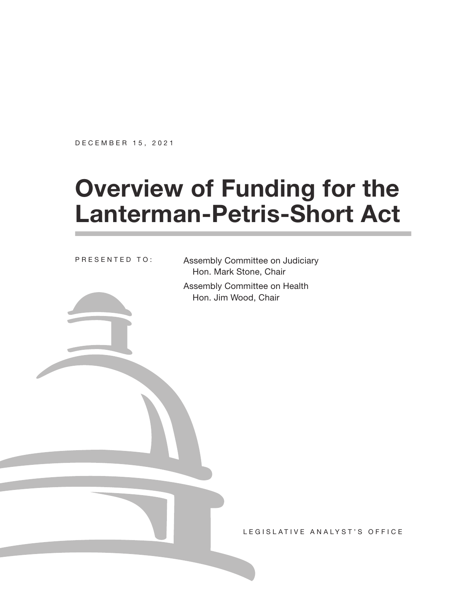DECEMBER 15, 2021

# **Overview of Funding for the Lanterman-Petris-Short Act**

PRESENTED TO:

Assembly Committee on Judiciary Hon. Mark Stone, Chair

Assembly Committee on Health Hon. Jim Wood, Chair

LEGISLATIVE ANALYST'S OFFICE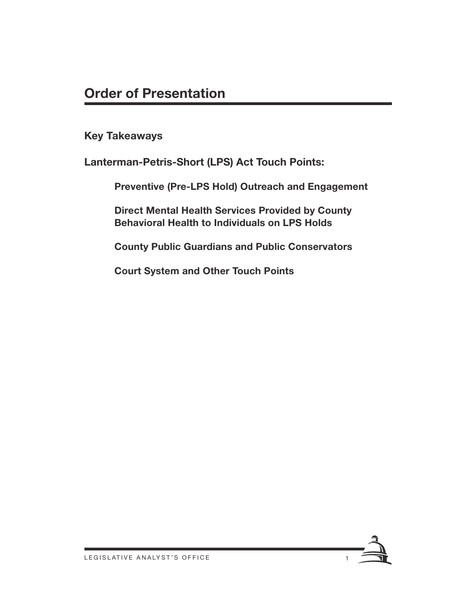**Key Takeaways**

**Lanterman-Petris-Short (LPS) Act Touch Points:** 

**Preventive (Pre-LPS Hold) Outreach and Engagement**

**Direct Mental Health Services Provided by County Behavioral Health to Individuals on LPS Holds**

**County Public Guardians and Public Conservators**

**Court System and Other Touch Points**

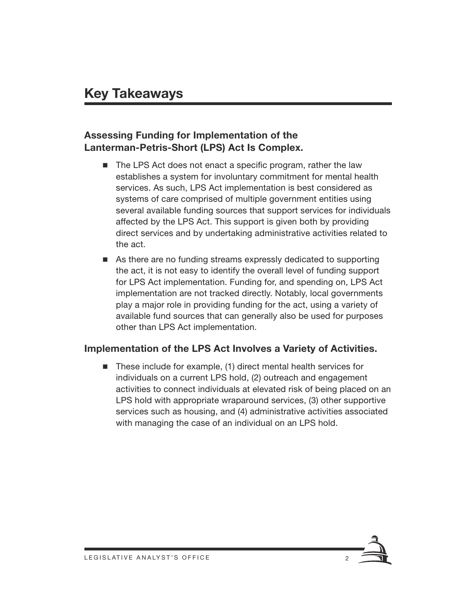#### **Assessing Funding for Implementation of the Lanterman-Petris-Short (LPS) Act Is Complex.**

- The LPS Act does not enact a specific program, rather the law establishes a system for involuntary commitment for mental health services. As such, LPS Act implementation is best considered as systems of care comprised of multiple government entities using several available funding sources that support services for individuals affected by the LPS Act. This support is given both by providing direct services and by undertaking administrative activities related to the act.
- As there are no funding streams expressly dedicated to supporting the act, it is not easy to identify the overall level of funding support for LPS Act implementation. Funding for, and spending on, LPS Act implementation are not tracked directly. Notably, local governments play a major role in providing funding for the act, using a variety of available fund sources that can generally also be used for purposes other than LPS Act implementation.

#### **Implementation of the LPS Act Involves a Variety of Activities.**

■ These include for example, (1) direct mental health services for individuals on a current LPS hold, (2) outreach and engagement activities to connect individuals at elevated risk of being placed on an LPS hold with appropriate wraparound services, (3) other supportive services such as housing, and (4) administrative activities associated with managing the case of an individual on an LPS hold.

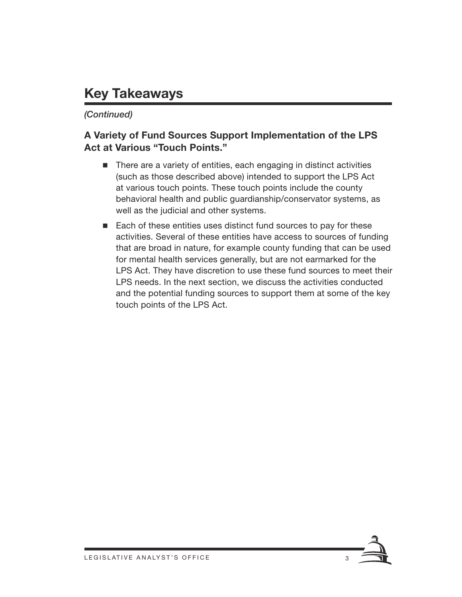# **Key Takeaways**

#### *(Continued)*

#### **A Variety of Fund Sources Support Implementation of the LPS Act at Various "Touch Points."**

- There are a variety of entities, each engaging in distinct activities (such as those described above) intended to support the LPS Act at various touch points. These touch points include the county behavioral health and public guardianship/conservator systems, as well as the judicial and other systems.
- Each of these entities uses distinct fund sources to pay for these activities. Several of these entities have access to sources of funding that are broad in nature, for example county funding that can be used for mental health services generally, but are not earmarked for the LPS Act. They have discretion to use these fund sources to meet their LPS needs. In the next section, we discuss the activities conducted and the potential funding sources to support them at some of the key touch points of the LPS Act.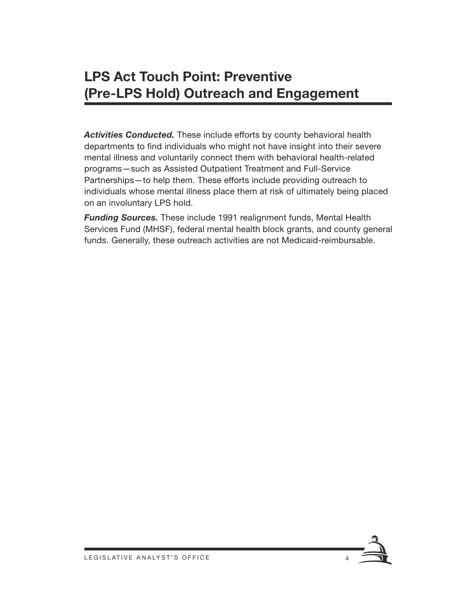# **LPS Act Touch Point: Preventive (Pre-LPS Hold) Outreach and Engagement**

*Activities Conducted.* These include efforts by county behavioral health departments to find individuals who might not have insight into their severe mental illness and voluntarily connect them with behavioral health-related programs—such as Assisted Outpatient Treatment and Full-Service Partnerships—to help them. These efforts include providing outreach to individuals whose mental illness place them at risk of ultimately being placed on an involuntary LPS hold.

*Funding Sources.* These include 1991 realignment funds, Mental Health Services Fund (MHSF), federal mental health block grants, and county general funds. Generally, these outreach activities are not Medicaid-reimbursable.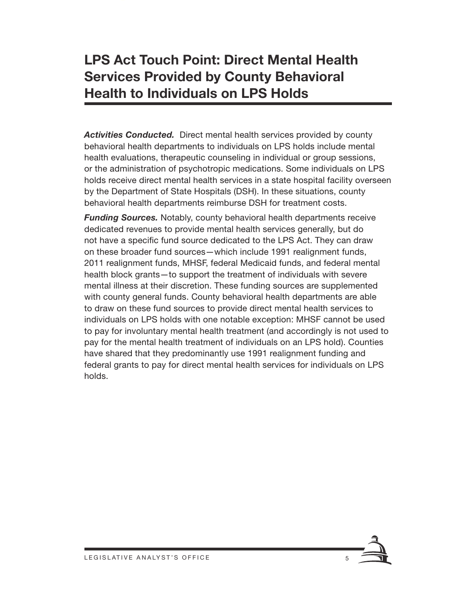# **LPS Act Touch Point: Direct Mental Health Services Provided by County Behavioral Health to Individuals on LPS Holds**

*Activities Conducted.* Direct mental health services provided by county behavioral health departments to individuals on LPS holds include mental health evaluations, therapeutic counseling in individual or group sessions, or the administration of psychotropic medications. Some individuals on LPS holds receive direct mental health services in a state hospital facility overseen by the Department of State Hospitals (DSH). In these situations, county behavioral health departments reimburse DSH for treatment costs.

*Funding Sources.* Notably, county behavioral health departments receive dedicated revenues to provide mental health services generally, but do not have a specific fund source dedicated to the LPS Act. They can draw on these broader fund sources—which include 1991 realignment funds, 2011 realignment funds, MHSF, federal Medicaid funds, and federal mental health block grants—to support the treatment of individuals with severe mental illness at their discretion. These funding sources are supplemented with county general funds. County behavioral health departments are able to draw on these fund sources to provide direct mental health services to individuals on LPS holds with one notable exception: MHSF cannot be used to pay for involuntary mental health treatment (and accordingly is not used to pay for the mental health treatment of individuals on an LPS hold). Counties have shared that they predominantly use 1991 realignment funding and federal grants to pay for direct mental health services for individuals on LPS holds.

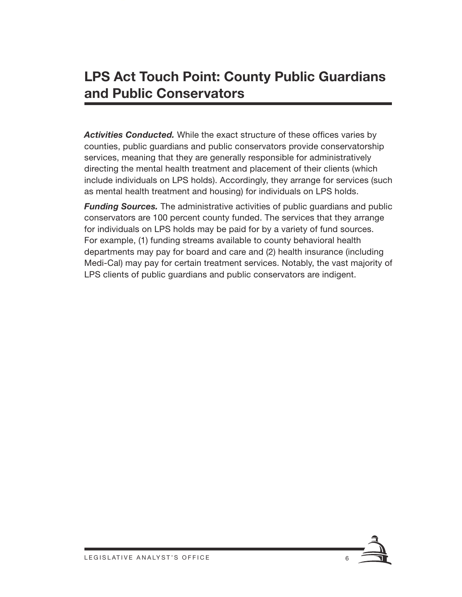## **LPS Act Touch Point: County Public Guardians and Public Conservators**

*Activities Conducted.* While the exact structure of these offices varies by counties, public guardians and public conservators provide conservatorship services, meaning that they are generally responsible for administratively directing the mental health treatment and placement of their clients (which include individuals on LPS holds). Accordingly, they arrange for services (such as mental health treatment and housing) for individuals on LPS holds.

*Funding Sources.* The administrative activities of public guardians and public conservators are 100 percent county funded. The services that they arrange for individuals on LPS holds may be paid for by a variety of fund sources. For example, (1) funding streams available to county behavioral health departments may pay for board and care and (2) health insurance (including Medi-Cal) may pay for certain treatment services. Notably, the vast majority of LPS clients of public guardians and public conservators are indigent.